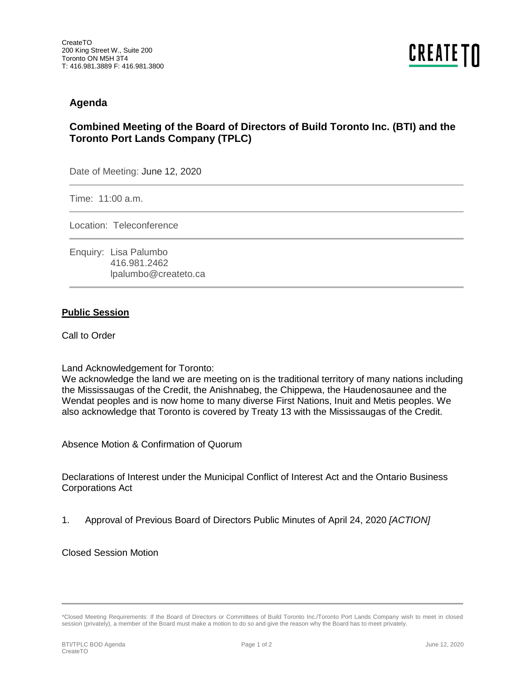## **Agenda**

# **Combined Meeting of the Board of Directors of Build Toronto Inc. (BTI) and the Toronto Port Lands Company (TPLC)**

Date of Meeting: June 12, 2020

Time: 11:00 a.m.

Location: Teleconference

Enquiry: Lisa Palumbo 416.981.2462 lpalumbo@createto.ca

## **Public Session**

Call to Order

#### Land Acknowledgement for Toronto:

We acknowledge the land we are meeting on is the traditional territory of many nations including the Mississaugas of the Credit, the Anishnabeg, the Chippewa, the Haudenosaunee and the Wendat peoples and is now home to many diverse First Nations, Inuit and Metis peoples. We also acknowledge that Toronto is covered by Treaty 13 with the Mississaugas of the Credit.

Absence Motion & Confirmation of Quorum

Declarations of Interest under the Municipal Conflict of Interest Act and the Ontario Business Corporations Act

1. Approval of Previous Board of Directors Public Minutes of April 24, 2020 *[ACTION]* 

Closed Session Motion

<sup>\*</sup>Closed Meeting Requirements: If the Board of Directors or Committees of Build Toronto Inc./Toronto Port Lands Company wish to meet in closed session (privately), a member of the Board must make a motion to do so and give the reason why the Board has to meet privately.